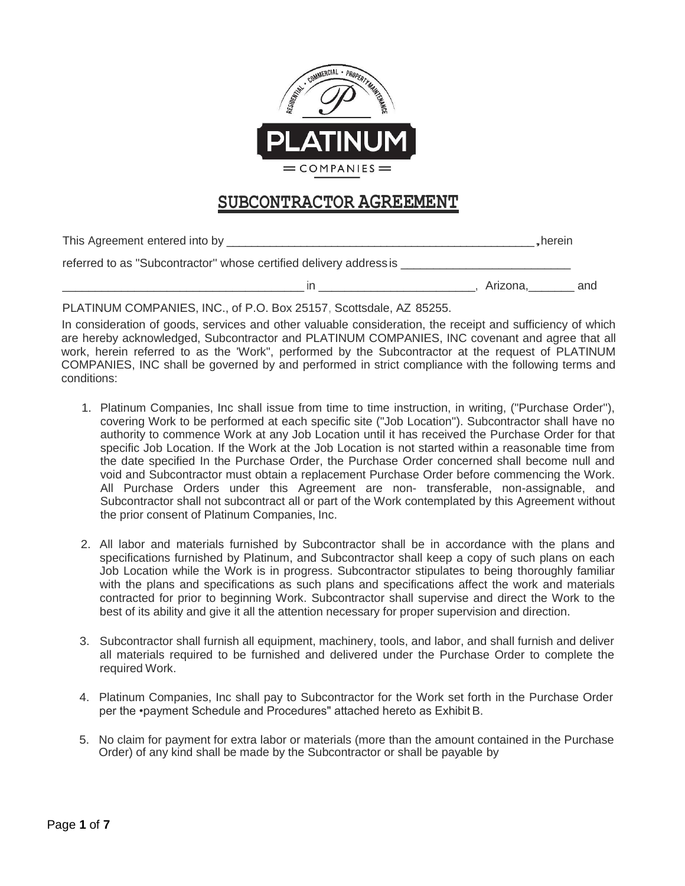

# **SUBCONTRACTOR AGREEMENT**

| This Agreement entered into by _______                             |          | _herein |     |
|--------------------------------------------------------------------|----------|---------|-----|
| referred to as "Subcontractor" whose certified delivery address is |          |         |     |
| ın                                                                 | Arizona. |         | and |

PLATINUM COMPANIES, INC., of P.O. Box 25157, Scottsdale, AZ 85255.

In consideration of goods, services and other valuable consideration, the receipt and sufficiency of which are hereby acknowledged, Subcontractor and PLATINUM COMPANIES, INC covenant and agree that all work, herein referred to as the 'Work", performed by the Subcontractor at the request of PLATINUM COMPANIES, INC shall be governed by and performed in strict compliance with the following terms and conditions:

- 1. Platinum Companies, Inc shall issue from time to time instruction, in writing, ("Purchase Order''), covering Work to be performed at each specific site ("Job Location''). Subcontractor shall have no authority to commence Work at any Job Location until it has received the Purchase Order for that specific Job Location. If the Work at the Job Location is not started within a reasonable time from the date specified In the Purchase Order, the Purchase Order concerned shall become null and void and Subcontractor must obtain a replacement Purchase Order before commencing the Work. All Purchase Orders under this Agreement are non- transferable, non-assignable, and Subcontractor shall not subcontract all or part of the Work contemplated by this Agreement without the prior consent of Platinum Companies, Inc.
- 2. All labor and materials furnished by Subcontractor shall be in accordance with the plans and specifications furnished by Platinum, and Subcontractor shall keep a copy of such plans on each Job Location while the Work is in progress. Subcontractor stipulates to being thoroughly familiar with the plans and specifications as such plans and specifications affect the work and materials contracted for prior to beginning Work. Subcontractor shall supervise and direct the Work to the best of its ability and give it all the attention necessary for proper supervision and direction.
- 3. Subcontractor shall furnish all equipment, machinery, tools, and labor, and shall furnish and deliver all materials required to be furnished and delivered under the Purchase Order to complete the required Work.
- 4. Platinum Companies, Inc shall pay to Subcontractor for the Work set forth in the Purchase Order per the •payment Schedule and Procedures" attached hereto as Exhibit B.
- 5. No claim for payment for extra labor or materials (more than the amount contained in the Purchase Order) of any kind shall be made by the Subcontractor or shall be payable by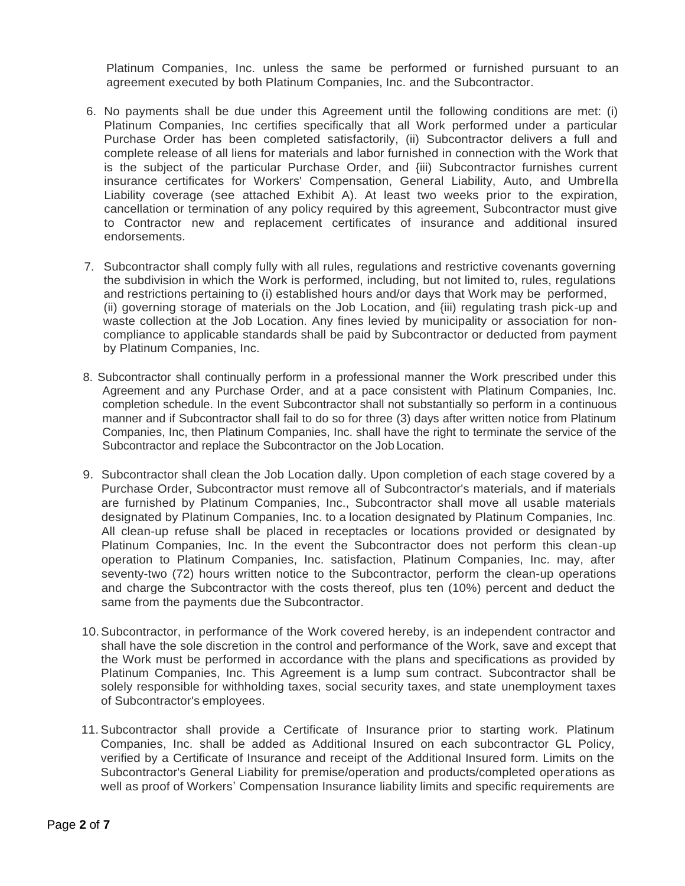Platinum Companies, Inc. unless the same be performed or furnished pursuant to an agreement executed by both Platinum Companies, Inc. and the Subcontractor.

- 6. No payments shall be due under this Agreement until the following conditions are met: (i) Platinum Companies, Inc certifies specifically that all Work performed under a particular Purchase Order has been completed satisfactorily, (ii) Subcontractor delivers a full and complete release of all liens for materials and labor furnished in connection with the Work that is the subject of the particular Purchase Order, and {iii) Subcontractor furnishes current insurance certificates for Workers' Compensation, General Liability, Auto, and Umbrella Liability coverage (see attached Exhibit A). At least two weeks prior to the expiration, cancellation or termination of any policy required by this agreement, Subcontractor must give to Contractor new and replacement certificates of insurance and additional insured endorsements.
- 7. Subcontractor shall comply fully with all rules, regulations and restrictive covenants governing the subdivision in which the Work is performed, including, but not limited to, rules, regulations and restrictions pertaining to (i) established hours and/or days that Work may be performed, (ii) governing storage of materials on the Job Location, and {iii) regulating trash pick-up and waste collection at the Job Location. Any fines levied by municipality or association for noncompliance to applicable standards shall be paid by Subcontractor or deducted from payment by Platinum Companies, Inc.
- 8. Subcontractor shall continually perform in a professional manner the Work prescribed under this Agreement and any Purchase Order, and at a pace consistent with Platinum Companies, Inc. completion schedule. In the event Subcontractor shall not substantially so perform in a continuous manner and if Subcontractor shall fail to do so for three (3) days after written notice from Platinum Companies, Inc, then Platinum Companies, Inc. shall have the right to terminate the service of the Subcontractor and replace the Subcontractor on the Job Location.
- 9. Subcontractor shall clean the Job Location dally. Upon completion of each stage covered by a Purchase Order, Subcontractor must remove all of Subcontractor's materials, and if materials are furnished by Platinum Companies, Inc., Subcontractor shall move all usable materials designated by Platinum Companies, Inc. to a location designated by Platinum Companies, Inc. All clean-up refuse shall be placed in receptacles or locations provided or designated by Platinum Companies, Inc. In the event the Subcontractor does not perform this clean-up operation to Platinum Companies, Inc. satisfaction, Platinum Companies, Inc. may, after seventy-two (72) hours written notice to the Subcontractor, perform the clean-up operations and charge the Subcontractor with the costs thereof, plus ten (10%) percent and deduct the same from the payments due the Subcontractor.
- 10.Subcontractor, in performance of the Work covered hereby, is an independent contractor and shall have the sole discretion in the control and performance of the Work, save and except that the Work must be performed in accordance with the plans and specifications as provided by Platinum Companies, Inc. This Agreement is a lump sum contract. Subcontractor shall be solely responsible for withholding taxes, social security taxes, and state unemployment taxes of Subcontractor's employees.
- 11.Subcontractor shall provide a Certificate of Insurance prior to starting work. Platinum Companies, Inc. shall be added as Additional Insured on each subcontractor GL Policy, verified by a Certificate of Insurance and receipt of the Additional Insured form. Limits on the Subcontractor's General Liability for premise/operation and products/completed operations as well as proof of Workers' Compensation Insurance liability limits and specific requirements are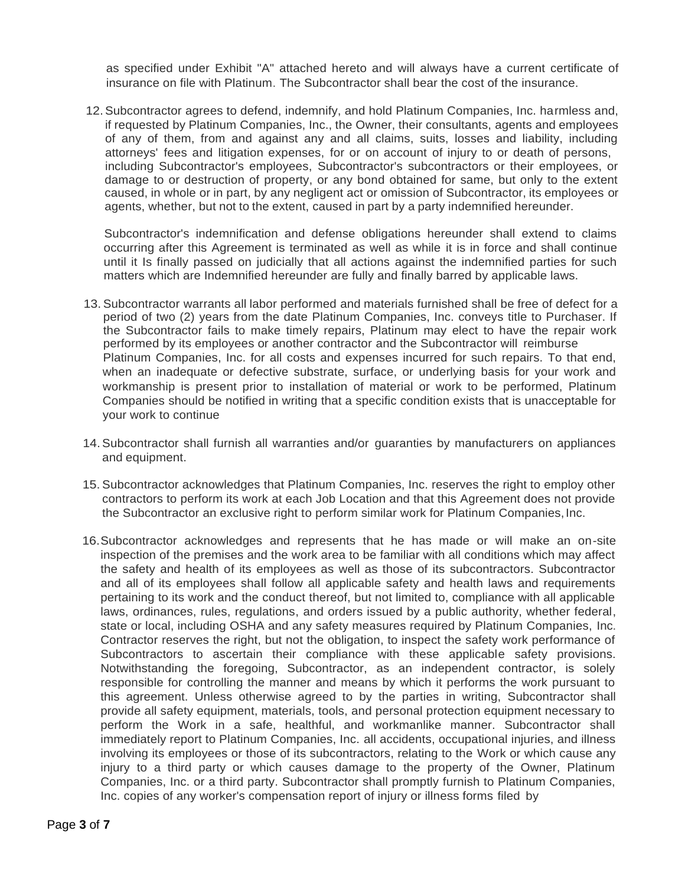as specified under Exhibit "A" attached hereto and will always have a current certificate of insurance on file with Platinum. The Subcontractor shall bear the cost of the insurance.

12.Subcontractor agrees to defend, indemnify, and hold Platinum Companies, Inc. harmless and, if requested by Platinum Companies, Inc., the Owner, their consultants, agents and employees of any of them, from and against any and all claims, suits, losses and liability, including attorneys' fees and litigation expenses, for or on account of injury to or death of persons, including Subcontractor's employees, Subcontractor's subcontractors or their employees, or damage to or destruction of property, or any bond obtained for same, but only to the extent caused, in whole or in part, by any negligent act or omission of Subcontractor, its employees or agents, whether, but not to the extent, caused in part by a party indemnified hereunder.

Subcontractor's indemnification and defense obligations hereunder shall extend to claims occurring after this Agreement is terminated as well as while it is in force and shall continue until it Is finally passed on judicially that all actions against the indemnified parties for such matters which are Indemnified hereunder are fully and finally barred by applicable laws.

- 13.Subcontractor warrants all labor performed and materials furnished shall be free of defect for a period of two (2) years from the date Platinum Companies, Inc. conveys title to Purchaser. If the Subcontractor fails to make timely repairs, Platinum may elect to have the repair work performed by its employees or another contractor and the Subcontractor will reimburse Platinum Companies, Inc. for all costs and expenses incurred for such repairs. To that end, when an inadequate or defective substrate, surface, or underlying basis for your work and workmanship is present prior to installation of material or work to be performed, Platinum Companies should be notified in writing that a specific condition exists that is unacceptable for your work to continue
- 14.Subcontractor shall furnish all warranties and/or guaranties by manufacturers on appliances and equipment.
- 15. Subcontractor acknowledges that Platinum Companies, Inc. reserves the right to employ other contractors to perform its work at each Job Location and that this Agreement does not provide the Subcontractor an exclusive right to perform similar work for Platinum Companies, Inc.
- 16.Subcontractor acknowledges and represents that he has made or will make an on-site inspection of the premises and the work area to be familiar with all conditions which may affect the safety and health of its employees as well as those of its subcontractors. Subcontractor and all of its employees shall follow all applicable safety and health laws and requirements pertaining to its work and the conduct thereof, but not limited to, compliance with all applicable laws, ordinances, rules, regulations, and orders issued by a public authority, whether federal, state or local, including OSHA and any safety measures required by Platinum Companies, Inc. Contractor reserves the right, but not the obligation, to inspect the safety work performance of Subcontractors to ascertain their compliance with these applicable safety provisions. Notwithstanding the foregoing, Subcontractor, as an independent contractor, is solely responsible for controlling the manner and means by which it performs the work pursuant to this agreement. Unless otherwise agreed to by the parties in writing, Subcontractor shall provide all safety equipment, materials, tools, and personal protection equipment necessary to perform the Work in a safe, healthful, and workmanlike manner. Subcontractor shall immediately report to Platinum Companies, Inc. all accidents, occupational injuries, and illness involving its employees or those of its subcontractors, relating to the Work or which cause any injury to a third party or which causes damage to the property of the Owner, Platinum Companies, Inc. or a third party. Subcontractor shall promptly furnish to Platinum Companies, Inc. copies of any worker's compensation report of injury or illness forms filed by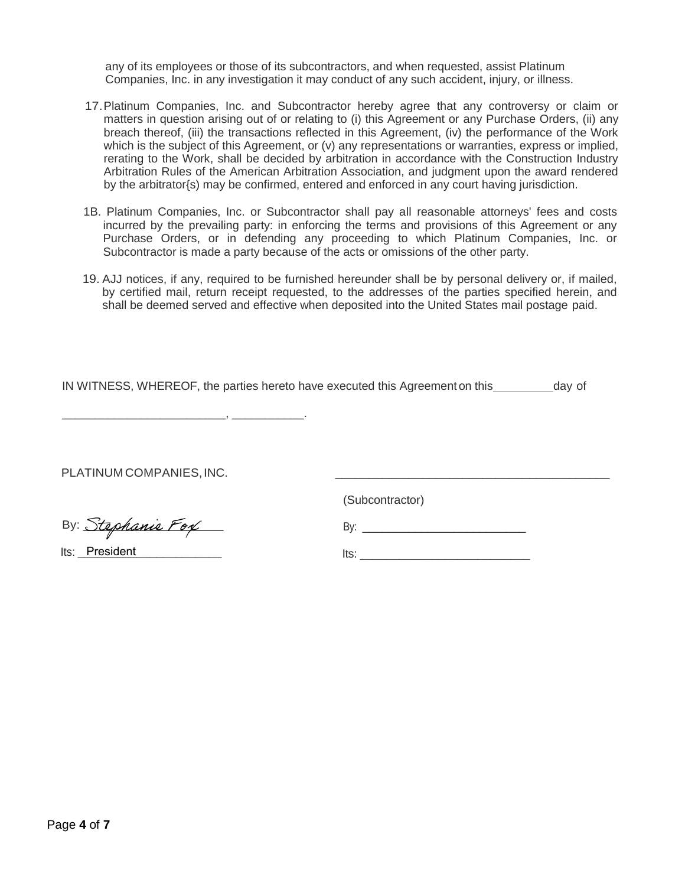any of its employees or those of its subcontractors, and when requested, assist Platinum Companies, Inc. in any investigation it may conduct of any such accident, injury, or illness.

- 17.Platinum Companies, Inc. and Subcontractor hereby agree that any controversy or claim or matters in question arising out of or relating to (i) this Agreement or any Purchase Orders, (ii) any breach thereof, (iii) the transactions reflected in this Agreement, (iv) the performance of the Work which is the subject of this Agreement, or (v) any representations or warranties, express or implied, rerating to the Work, shall be decided by arbitration in accordance with the Construction Industry Arbitration Rules of the American Arbitration Association, and judgment upon the award rendered by the arbitrator{s) may be confirmed, entered and enforced in any court having jurisdiction.
- 1B. Platinum Companies, Inc. or Subcontractor shall pay all reasonable attorneys' fees and costs incurred by the prevailing party: in enforcing the terms and provisions of this Agreement or any Purchase Orders, or in defending any proceeding to which Platinum Companies, Inc. or Subcontractor is made a party because of the acts or omissions of the other party.
- 19. AJJ notices, if any, required to be furnished hereunder shall be by personal delivery or, if mailed, by certified mail, return receipt requested, to the addresses of the parties specified herein, and shall be deemed served and effective when deposited into the United States mail postage paid.

IN WITNESS, WHEREOF, the parties hereto have executed this Agreement on this day of

PLATINUM COMPANIES, INC.

 $\overline{\phantom{a}}$  ,  $\overline{\phantom{a}}$  ,  $\overline{\phantom{a}}$ 

(Subcontractor)

By: Stephanie Fox

Its: President

 $\blacksquare$ 

By: \_\_\_\_\_\_\_\_\_\_\_\_\_\_\_\_\_\_\_\_\_\_\_\_\_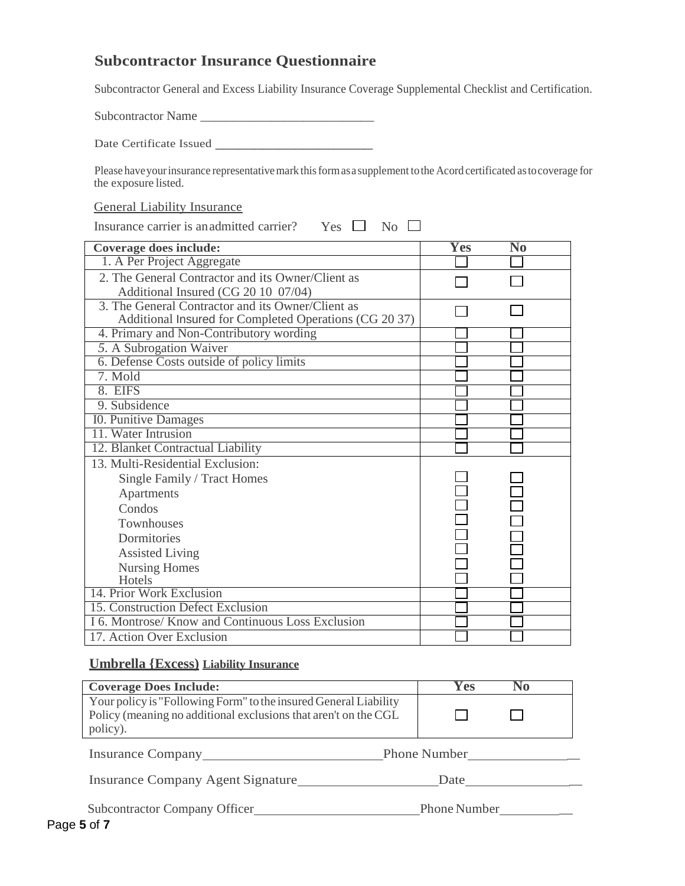## **Subcontractor Insurance Questionnaire**

Subcontractor General and Excess Liability Insurance Coverage Supplemental Checklist and Certification.

Subcontractor Name \_\_\_\_\_\_\_\_\_\_\_\_\_\_\_\_\_\_\_\_\_\_\_\_\_\_\_

Date Certificate Issued \_\_\_\_\_\_\_\_\_\_\_\_\_\_\_\_\_\_\_\_

Please have your insurance representative mark this form as a supplement to the Acord certificated as to coverage for the exposure listed.

#### General Liability Insurance

Insurance carrier is an admitted carrier? Yes  $\Box$  No  $\Box$ 

| <b>Coverage does include:</b>                                                                               | <b>Yes</b> | No |  |
|-------------------------------------------------------------------------------------------------------------|------------|----|--|
| 1. A Per Project Aggregate                                                                                  |            |    |  |
| 2. The General Contractor and its Owner/Client as<br>Additional Insured (CG 20 10 07/04)                    |            |    |  |
| 3. The General Contractor and its Owner/Client as<br>Additional Insured for Completed Operations (CG 20 37) |            |    |  |
| 4. Primary and Non-Contributory wording                                                                     |            |    |  |
| 5. A Subrogation Waiver                                                                                     |            |    |  |
| 6. Defense Costs outside of policy limits                                                                   |            |    |  |
| 7. Mold                                                                                                     |            |    |  |
| 8. EIFS                                                                                                     |            |    |  |
| 9. Subsidence                                                                                               |            |    |  |
| <b>IO.</b> Punitive Damages                                                                                 |            |    |  |
| 11. Water Intrusion                                                                                         |            |    |  |
| 12. Blanket Contractual Liability                                                                           |            |    |  |
| 13. Multi-Residential Exclusion:                                                                            |            |    |  |
| Single Family / Tract Homes                                                                                 |            |    |  |
| Apartments                                                                                                  |            |    |  |
| Condos                                                                                                      |            |    |  |
| Townhouses                                                                                                  |            |    |  |
| Dormitories                                                                                                 |            |    |  |
| <b>Assisted Living</b>                                                                                      |            |    |  |
| <b>Nursing Homes</b>                                                                                        |            |    |  |
| Hotels                                                                                                      |            |    |  |
| 14. Prior Work Exclusion                                                                                    |            |    |  |
| 15. Construction Defect Exclusion                                                                           |            |    |  |
| I 6. Montrose/ Know and Continuous Loss Exclusion                                                           |            |    |  |
| 17. Action Over Exclusion                                                                                   |            |    |  |

#### **Umbrella {Excess) Liability Insurance**

| <b>Coverage Does Include:</b>                                                                                                                   | Y es                |
|-------------------------------------------------------------------------------------------------------------------------------------------------|---------------------|
| Your policy is "Following Form" to the insured General Liability<br>Policy (meaning no additional exclusions that aren't on the CGL<br>policy). |                     |
| Insurance Company                                                                                                                               | <b>Phone Number</b> |
| <b>Insurance Company Agent Signature</b>                                                                                                        | Date                |
| Subcontractor Company Officer                                                                                                                   | <b>Phone Number</b> |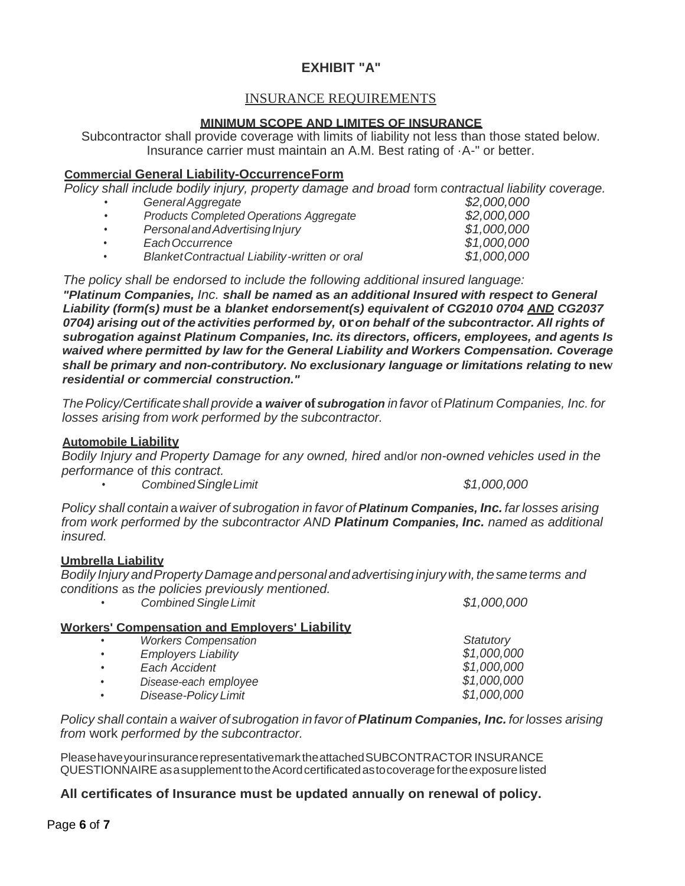# **EXHIBIT "A"**

## INSURANCE REQUIREMENTS

## **MINIMUM SCOPE AND LIMITES OF INSURANCE**

Subcontractor shall provide coverage with limits of liability not less than those stated below. Insurance carrier must maintain an A.M. Best rating of ·A-" or better.

### **Commercial General Liability-OccurrenceForm**

*Policy shall include bodily injury, property damage and broad form contractual liability coverage.*<br>Coneral *Argregate* 

• *GeneralAggregate \$2,000,000*

|           | <u>UUNUN NYYI UYUW</u>                         | VL.OOO.OOO  |
|-----------|------------------------------------------------|-------------|
| $\bullet$ | <b>Products Completed Operations Aggregate</b> | \$2,000,000 |
| $\bullet$ | Personal and Advertising Injury                | \$1,000,000 |
|           | Each Occurrence                                | \$1,000,000 |
|           | Blanket Contractual Liability-written or oral  | \$1,000,000 |

*The policy shall be endorsed to include the following additional insured language: "Platinum Companies, Inc. shall be named* **as** *an additional Insured with respect to General Liability (form(s) must be* **a** *blanket endorsement(s) equivalent of CG2010 0704 AND CG2037 0704) arising out of the activities performed by,* **or***on behalf of the subcontractor. All rights of subrogation against Platinum Companies, Inc. its directors, officers, employees, and agents Is waived where permitted by law for the General Liability and Workers Compensation. Coverage shall be primary and non-contributory. No exclusionary language or limitations relating to* **new**  *residential or commercial construction."*

*ThePolicy/Certificateshall provide* **a** *waiver* **of***subrogation infavor* of*Platinum Companies, Inc. for losses arising from work performed by the subcontractor.*

### **Automobile Liability**

*Bodily Injury and Property Damage for any owned, hired* and/or *non-owned vehicles used in the performance* of *this contract.*

• *CombinedSingleLimit \$1,000,000*

*Statutory*

*Policy shall contain* a*waiver of subrogation in favor of Platinum Companies, Inc. far losses arising from work performed by the subcontractor AND Platinum Companies, Inc. named as additional insured.*

## **Umbrella Liability**

*Bodily Injury andProperty Damageandpersonalandadvertising injurywith,thesameterms and conditions* as *the policies previously mentioned.*

• *CombinedSingleLimit \$1,000,000* **Workers' Compensation and Employers' Liability** • *Workers Compensation*

| <b>Employers Liability</b> | \$1,000,000 |
|----------------------------|-------------|
| Each Accident              | \$1,000,000 |
| Disease-each employee      | \$1,000,000 |
| Disease-Policy Limit       | \$1,000,000 |
|                            |             |

*Policy shall contain* a *waiver of subrogation in favor of Platinum Companies, Inc. for losses arising from* work *performed by the subcontractor.*

PleasehaveyourinsurancerepresentativemarktheattachedSUBCONTRACTOR INSURANCE QUESTIONNAIRE asasupplementtotheAcordcertificatedastocoveragefortheexposurelisted

## **All certificates of Insurance must be updated annually on renewal of policy.**